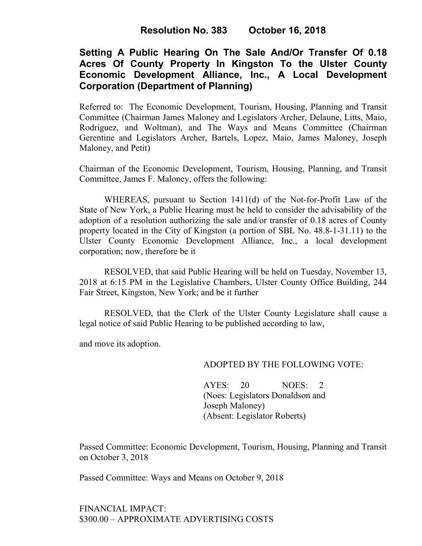# **Setting A Public Hearing On The Sale And/Or Transfer Of 0.18 Acres Of County Property In Kingston To the Ulster County Economic Development Alliance, Inc., A Local Development Corporation (Department of Planning)**

Referred to: The Economic Development, Tourism, Housing, Planning and Transit Committee (Chairman James Maloney and Legislators Archer, Delaune, Litts, Maio, Rodriguez, and Woltman), and The Ways and Means Committee (Chairman Gerentine and Legislators Archer, Bartels, Lopez, Maio, James Maloney, Joseph Maloney, and Petit)

Chairman of the Economic Development, Tourism, Housing, Planning, and Transit Committee, James F. Maloney, offers the following:

WHEREAS, pursuant to Section 1411(d) of the Not-for-Profit Law of the State of New York, a Public Hearing must be held to consider the advisability of the adoption of a resolution authorizing the sale and/or transfer of 0.18 acres of County property located in the City of Kingston (a portion of SBL No. 48.8-1-31.11) to the Ulster County Economic Development Alliance, Inc., a local development corporation; now, therefore be it

RESOLVED, that said Public Hearing will be held on Tuesday, November 13, 2018 at 6:15 PM in the Legislative Chambers, Ulster County Office Building, 244 Fair Street, Kingston, New York; and be it further

RESOLVED, that the Clerk of the Ulster County Legislature shall cause a legal notice of said Public Hearing to be published according to law,

and move its adoption.

#### ADOPTED BY THE FOLLOWING VOTE:

AYES: 20 NOES: 2 (Noes: Legislators Donaldson and Joseph Maloney) (Absent: Legislator Roberts)

Passed Committee: Economic Development, Tourism, Housing, Planning and Transit on October 3, 2018

Passed Committee: Ways and Means on October 9, 2018

## FINANCIAL IMPACT: \$300.00 – APPROXIMATE ADVERTISING COSTS